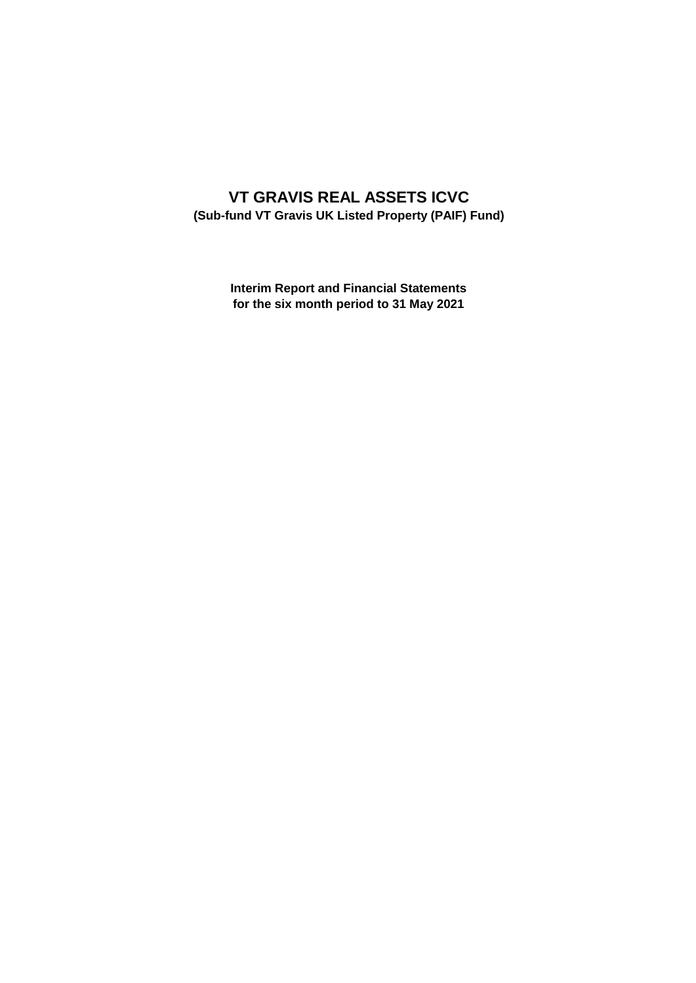# **VT GRAVIS REAL ASSETS ICVC (Sub-fund VT Gravis UK Listed Property (PAIF) Fund)**

**Interim Report and Financial Statements for the six month period to 31 May 2021**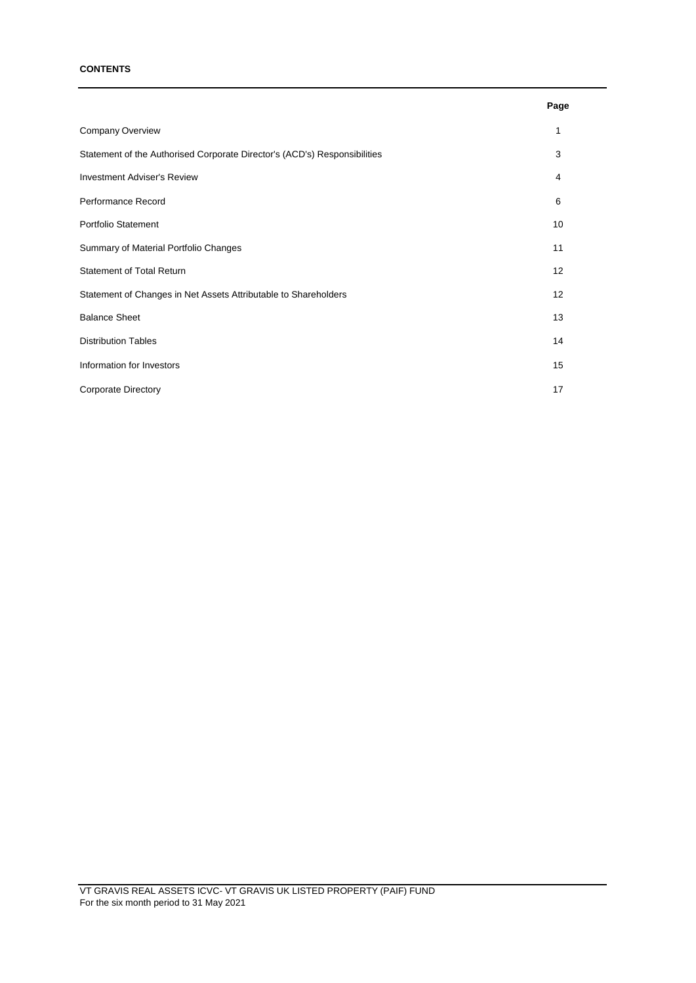### **CONTENTS**

|                                                                           | Page |
|---------------------------------------------------------------------------|------|
| Company Overview                                                          | 1    |
| Statement of the Authorised Corporate Director's (ACD's) Responsibilities | 3    |
| <b>Investment Adviser's Review</b>                                        | 4    |
| Performance Record                                                        | 6    |
| Portfolio Statement                                                       | 10   |
| Summary of Material Portfolio Changes                                     | 11   |
| <b>Statement of Total Return</b>                                          | 12   |
| Statement of Changes in Net Assets Attributable to Shareholders           | 12   |
| <b>Balance Sheet</b>                                                      | 13   |
| <b>Distribution Tables</b>                                                | 14   |
| Information for Investors                                                 | 15   |
| <b>Corporate Directory</b>                                                | 17   |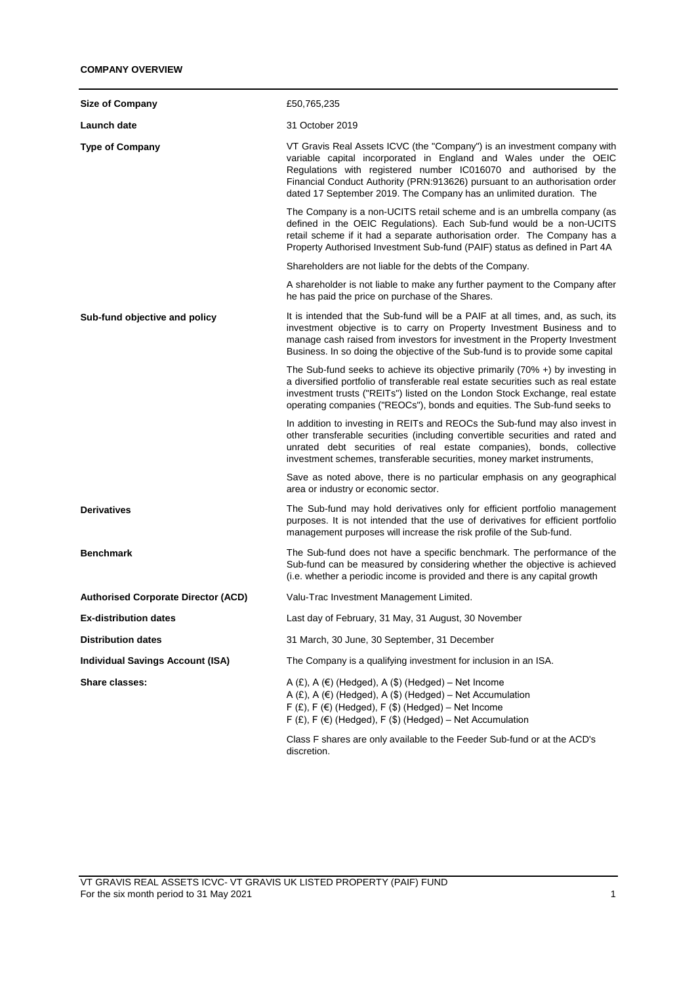| <b>Size of Company</b>                     | £50,765,235                                                                                                                                                                                                                                                                                                                                                              |
|--------------------------------------------|--------------------------------------------------------------------------------------------------------------------------------------------------------------------------------------------------------------------------------------------------------------------------------------------------------------------------------------------------------------------------|
| Launch date                                | 31 October 2019                                                                                                                                                                                                                                                                                                                                                          |
| <b>Type of Company</b>                     | VT Gravis Real Assets ICVC (the "Company") is an investment company with<br>variable capital incorporated in England and Wales under the OEIC<br>Regulations with registered number IC016070 and authorised by the<br>Financial Conduct Authority (PRN:913626) pursuant to an authorisation order<br>dated 17 September 2019. The Company has an unlimited duration. The |
|                                            | The Company is a non-UCITS retail scheme and is an umbrella company (as<br>defined in the OEIC Regulations). Each Sub-fund would be a non-UCITS<br>retail scheme if it had a separate authorisation order. The Company has a<br>Property Authorised Investment Sub-fund (PAIF) status as defined in Part 4A                                                              |
|                                            | Shareholders are not liable for the debts of the Company.                                                                                                                                                                                                                                                                                                                |
|                                            | A shareholder is not liable to make any further payment to the Company after<br>he has paid the price on purchase of the Shares.                                                                                                                                                                                                                                         |
| Sub-fund objective and policy              | It is intended that the Sub-fund will be a PAIF at all times, and, as such, its<br>investment objective is to carry on Property Investment Business and to<br>manage cash raised from investors for investment in the Property Investment<br>Business. In so doing the objective of the Sub-fund is to provide some capital                                              |
|                                            | The Sub-fund seeks to achieve its objective primarily $(70\% +)$ by investing in<br>a diversified portfolio of transferable real estate securities such as real estate<br>investment trusts ("REITs") listed on the London Stock Exchange, real estate<br>operating companies ("REOCs"), bonds and equities. The Sub-fund seeks to                                       |
|                                            | In addition to investing in REITs and REOCs the Sub-fund may also invest in<br>other transferable securities (including convertible securities and rated and<br>unrated debt securities of real estate companies), bonds, collective<br>investment schemes, transferable securities, money market instruments,                                                           |
|                                            | Save as noted above, there is no particular emphasis on any geographical<br>area or industry or economic sector.                                                                                                                                                                                                                                                         |
| <b>Derivatives</b>                         | The Sub-fund may hold derivatives only for efficient portfolio management<br>purposes. It is not intended that the use of derivatives for efficient portfolio<br>management purposes will increase the risk profile of the Sub-fund.                                                                                                                                     |
| <b>Benchmark</b>                           | The Sub-fund does not have a specific benchmark. The performance of the<br>Sub-fund can be measured by considering whether the objective is achieved<br>(i.e. whether a periodic income is provided and there is any capital growth                                                                                                                                      |
| <b>Authorised Corporate Director (ACD)</b> | Valu-Trac Investment Management Limited.                                                                                                                                                                                                                                                                                                                                 |
| <b>Ex-distribution dates</b>               | Last day of February, 31 May, 31 August, 30 November                                                                                                                                                                                                                                                                                                                     |
| <b>Distribution dates</b>                  | 31 March, 30 June, 30 September, 31 December                                                                                                                                                                                                                                                                                                                             |
| <b>Individual Savings Account (ISA)</b>    | The Company is a qualifying investment for inclusion in an ISA.                                                                                                                                                                                                                                                                                                          |
| Share classes:                             | A $(E)$ , A $(E)$ (Hedged), A $(\$)$ (Hedged) – Net Income<br>A (£), A (€) (Hedged), A (\$) (Hedged) - Net Accumulation<br>$F(f)$ , F $(f)$ (Hedged), F $(f)$ (Hedged) – Net Income<br>$F(f)$ , F $(f)$ (Hedged), F $(f)$ (Hedged) – Net Accumulation                                                                                                                    |
|                                            | Class F shares are only available to the Feeder Sub-fund or at the ACD's<br>discretion.                                                                                                                                                                                                                                                                                  |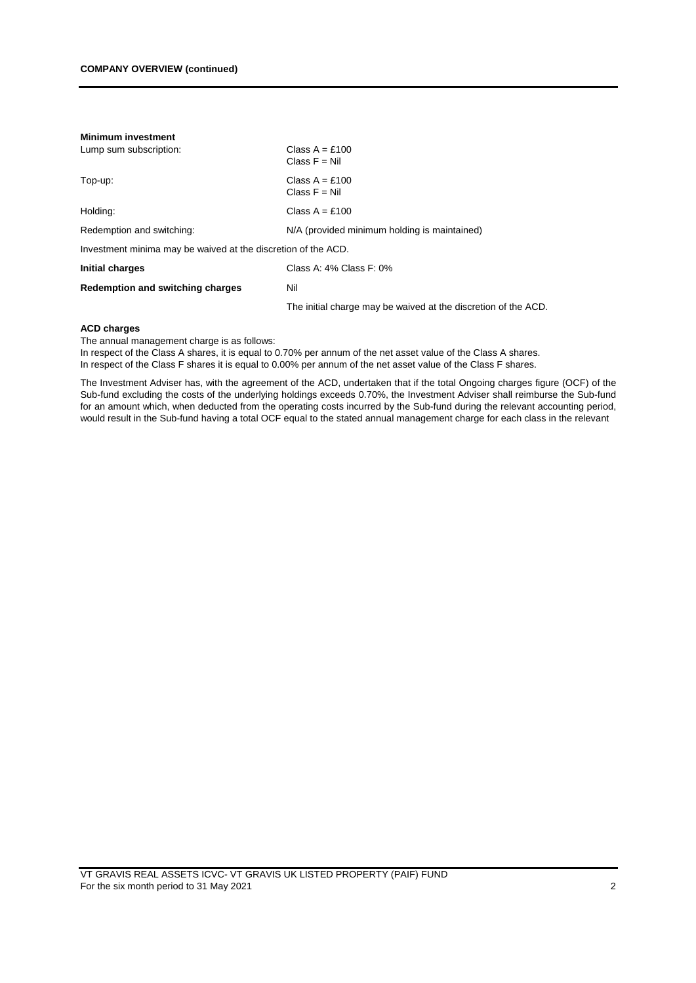| <b>Minimum investment</b>                                     |                                                                |  |  |
|---------------------------------------------------------------|----------------------------------------------------------------|--|--|
| Lump sum subscription:                                        | Class $A = £100$<br>Class $F = Nil$                            |  |  |
| Top-up:                                                       | Class $A = £100$<br>Class $F = Nil$                            |  |  |
| Holding:                                                      | Class $A = £100$                                               |  |  |
| Redemption and switching:                                     | N/A (provided minimum holding is maintained)                   |  |  |
| Investment minima may be waived at the discretion of the ACD. |                                                                |  |  |
| Initial charges                                               | Class A: 4% Class F: 0%                                        |  |  |
| Redemption and switching charges                              | Nil                                                            |  |  |
|                                                               | The initial charge may be waived at the discretion of the ACD. |  |  |

### **ACD charges**

The annual management charge is as follows:

In respect of the Class A shares, it is equal to 0.70% per annum of the net asset value of the Class A shares. In respect of the Class F shares it is equal to 0.00% per annum of the net asset value of the Class F shares.

The Investment Adviser has, with the agreement of the ACD, undertaken that if the total Ongoing charges figure (OCF) of the Sub-fund excluding the costs of the underlying holdings exceeds 0.70%, the Investment Adviser shall reimburse the Sub-fund for an amount which, when deducted from the operating costs incurred by the Sub-fund during the relevant accounting period, would result in the Sub-fund having a total OCF equal to the stated annual management charge for each class in the relevant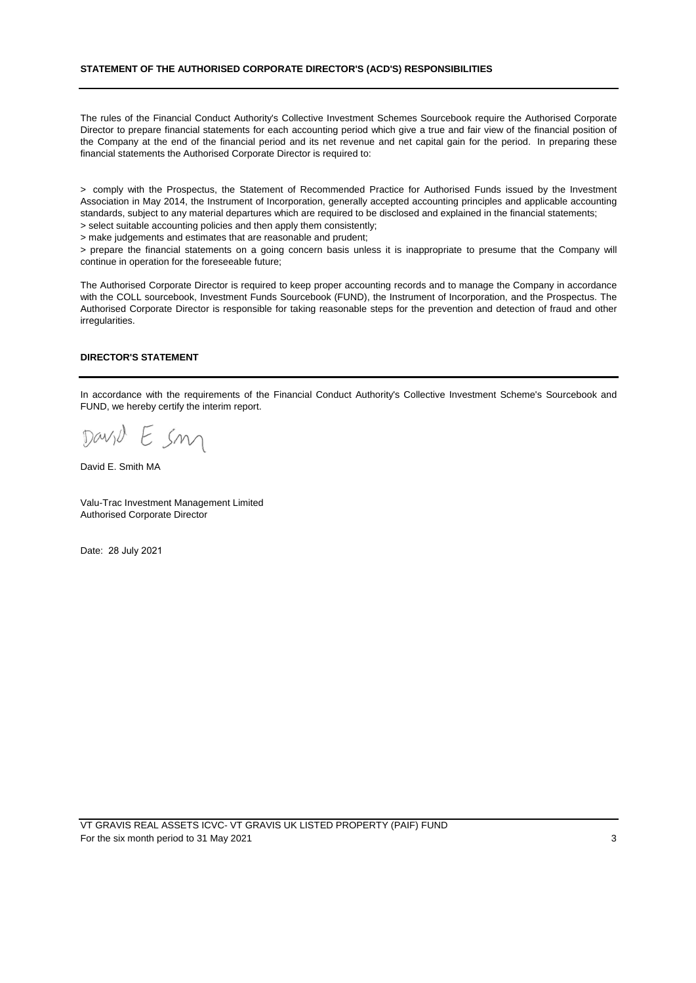#### **STATEMENT OF THE AUTHORISED CORPORATE DIRECTOR'S (ACD'S) RESPONSIBILITIES**

The rules of the Financial Conduct Authority's Collective Investment Schemes Sourcebook require the Authorised Corporate Director to prepare financial statements for each accounting period which give a true and fair view of the financial position of the Company at the end of the financial period and its net revenue and net capital gain for the period. In preparing these financial statements the Authorised Corporate Director is required to:

> comply with the Prospectus, the Statement of Recommended Practice for Authorised Funds issued by the Investment Association in May 2014, the Instrument of Incorporation, generally accepted accounting principles and applicable accounting standards, subject to any material departures which are required to be disclosed and explained in the financial statements;

> select suitable accounting policies and then apply them consistently;

> make judgements and estimates that are reasonable and prudent;

> prepare the financial statements on a going concern basis unless it is inappropriate to presume that the Company will continue in operation for the foreseeable future;

The Authorised Corporate Director is required to keep proper accounting records and to manage the Company in accordance with the COLL sourcebook, Investment Funds Sourcebook (FUND), the Instrument of Incorporation, and the Prospectus. The Authorised Corporate Director is responsible for taking reasonable steps for the prevention and detection of fraud and other irregularities.

#### **DIRECTOR'S STATEMENT**

In accordance with the requirements of the Financial Conduct Authority's Collective Investment Scheme's Sourcebook and FUND, we hereby certify the interim report.

David E sm

David E. Smith MA

Valu-Trac Investment Management Limited Authorised Corporate Director

Date: 28 July 2021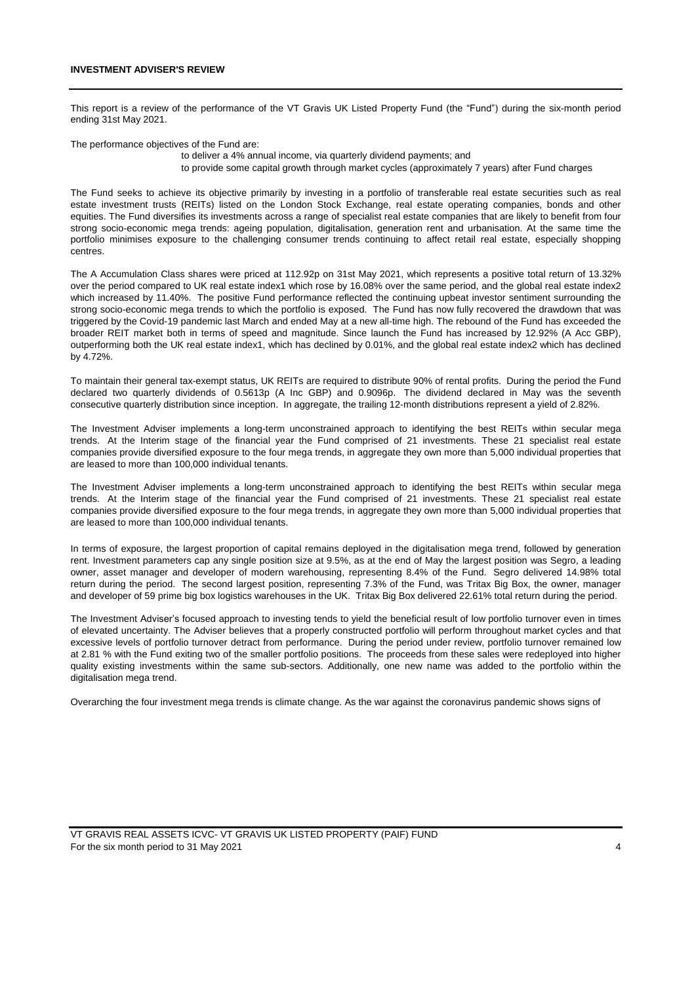This report is a review of the performance of the VT Gravis UK Listed Property Fund (the "Fund") during the six-month period ending 31st May 2021.

The performance objectives of the Fund are:

to deliver a 4% annual income, via quarterly dividend payments; and to provide some capital growth through market cycles (approximately 7 years) after Fund charges

The Fund seeks to achieve its objective primarily by investing in a portfolio of transferable real estate securities such as real estate investment trusts (REITs) listed on the London Stock Exchange, real estate operating companies, bonds and other equities. The Fund diversifies its investments across a range of specialist real estate companies that are likely to benefit from four strong socio-economic mega trends: ageing population, digitalisation, generation rent and urbanisation. At the same time the portfolio minimises exposure to the challenging consumer trends continuing to affect retail real estate, especially shopping centres.

The A Accumulation Class shares were priced at 112.92p on 31st May 2021, which represents a positive total return of 13.32% over the period compared to UK real estate index1 which rose by 16.08% over the same period, and the global real estate index2 which increased by 11.40%. The positive Fund performance reflected the continuing upbeat investor sentiment surrounding the strong socio-economic mega trends to which the portfolio is exposed. The Fund has now fully recovered the drawdown that was triggered by the Covid-19 pandemic last March and ended May at a new all-time high. The rebound of the Fund has exceeded the broader REIT market both in terms of speed and magnitude. Since launch the Fund has increased by 12.92% (A Acc GBP), outperforming both the UK real estate index1, which has declined by 0.01%, and the global real estate index2 which has declined by 4.72%.

To maintain their general tax-exempt status, UK REITs are required to distribute 90% of rental profits. During the period the Fund declared two quarterly dividends of 0.5613p (A Inc GBP) and 0.9096p. The dividend declared in May was the seventh consecutive quarterly distribution since inception. In aggregate, the trailing 12-month distributions represent a yield of 2.82%.

The Investment Adviser implements a long-term unconstrained approach to identifying the best REITs within secular mega trends. At the Interim stage of the financial year the Fund comprised of 21 investments. These 21 specialist real estate companies provide diversified exposure to the four mega trends, in aggregate they own more than 5,000 individual properties that are leased to more than 100,000 individual tenants.

The Investment Adviser implements a long-term unconstrained approach to identifying the best REITs within secular mega trends. At the Interim stage of the financial year the Fund comprised of 21 investments. These 21 specialist real estate companies provide diversified exposure to the four mega trends, in aggregate they own more than 5,000 individual properties that are leased to more than 100,000 individual tenants.

In terms of exposure, the largest proportion of capital remains deployed in the digitalisation mega trend, followed by generation rent. Investment parameters cap any single position size at 9.5%, as at the end of May the largest position was Segro, a leading owner, asset manager and developer of modern warehousing, representing 8.4% of the Fund. Segro delivered 14.98% total return during the period. The second largest position, representing 7.3% of the Fund, was Tritax Big Box, the owner, manager and developer of 59 prime big box logistics warehouses in the UK. Tritax Big Box delivered 22.61% total return during the period.

The Investment Adviser's focused approach to investing tends to yield the beneficial result of low portfolio turnover even in times of elevated uncertainty. The Adviser believes that a properly constructed portfolio will perform throughout market cycles and that excessive levels of portfolio turnover detract from performance. During the period under review, portfolio turnover remained low at 2.81 % with the Fund exiting two of the smaller portfolio positions. The proceeds from these sales were redeployed into higher quality existing investments within the same sub-sectors. Additionally, one new name was added to the portfolio within the digitalisation mega trend.

Overarching the four investment mega trends is climate change. As the war against the coronavirus pandemic shows signs of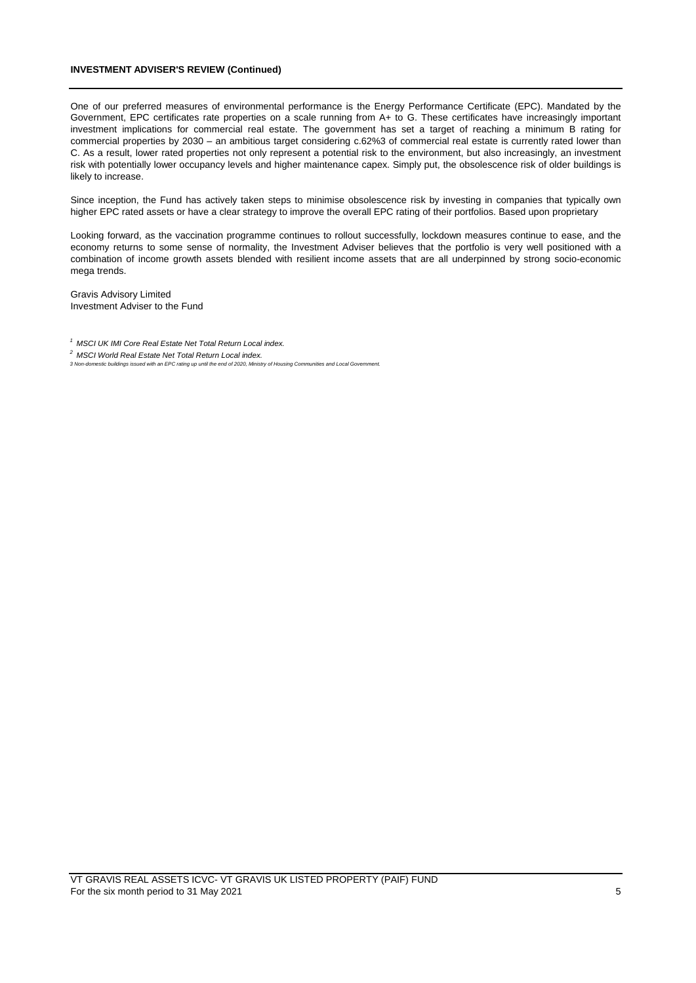#### **INVESTMENT ADVISER'S REVIEW (Continued)**

One of our preferred measures of environmental performance is the Energy Performance Certificate (EPC). Mandated by the Government, EPC certificates rate properties on a scale running from A+ to G. These certificates have increasingly important investment implications for commercial real estate. The government has set a target of reaching a minimum B rating for commercial properties by 2030 – an ambitious target considering c.62%3 of commercial real estate is currently rated lower than C. As a result, lower rated properties not only represent a potential risk to the environment, but also increasingly, an investment risk with potentially lower occupancy levels and higher maintenance capex. Simply put, the obsolescence risk of older buildings is likely to increase.

Since inception, the Fund has actively taken steps to minimise obsolescence risk by investing in companies that typically own higher EPC rated assets or have a clear strategy to improve the overall EPC rating of their portfolios. Based upon proprietary

Looking forward, as the vaccination programme continues to rollout successfully, lockdown measures continue to ease, and the economy returns to some sense of normality, the Investment Adviser believes that the portfolio is very well positioned with a combination of income growth assets blended with resilient income assets that are all underpinned by strong socio-economic mega trends.

Investment Adviser to the Fund Gravis Advisory Limited

*2 MSCI World Real Estate Net Total Return Local index.* 

*<sup>1</sup> MSCI UK IMI Core Real Estate Net Total Return Local index.* 

*<sup>3</sup> Non-domestic buildings issued with an EPC rating up until the end of 2020, Ministry of Housing Communities and Local Government.*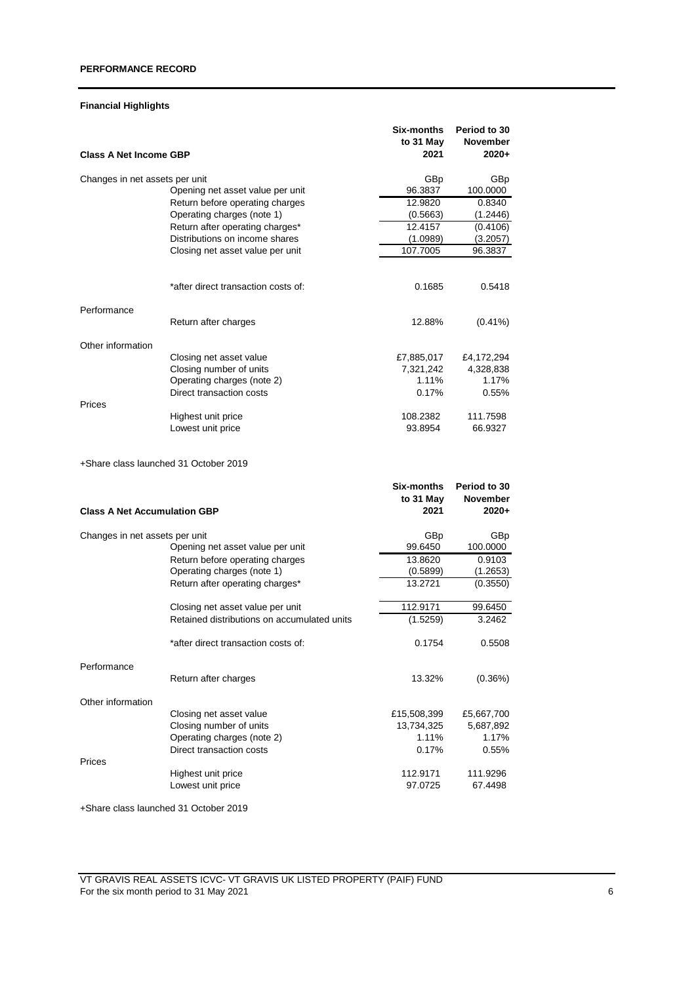# **Financial Highlights**

| <b>Class A Net Income GBP</b>  |                                       | <b>Six-months</b><br>to 31 May<br>2021 | Period to 30<br><b>November</b><br>$2020+$ |
|--------------------------------|---------------------------------------|----------------------------------------|--------------------------------------------|
| Changes in net assets per unit |                                       | GBp                                    | GBp                                        |
|                                | Opening net asset value per unit      | 96.3837                                | 100.0000                                   |
|                                | Return before operating charges       | 12.9820                                | 0.8340                                     |
|                                | Operating charges (note 1)            | (0.5663)                               | (1.2446)                                   |
|                                | Return after operating charges*       | 12.4157                                | (0.4106)                                   |
|                                | Distributions on income shares        | (1.0989)                               | (3.2057)                                   |
|                                | Closing net asset value per unit      | 107.7005                               | 96.3837                                    |
|                                |                                       |                                        |                                            |
|                                | *after direct transaction costs of:   | 0.1685                                 | 0.5418                                     |
| Performance                    |                                       |                                        |                                            |
|                                | Return after charges                  | 12.88%                                 | $(0.41\%)$                                 |
| Other information              |                                       |                                        |                                            |
|                                | Closing net asset value               | £7,885,017                             | £4,172,294                                 |
|                                | Closing number of units               | 7,321,242                              | 4,328,838                                  |
|                                | Operating charges (note 2)            | 1.11%                                  | 1.17%                                      |
|                                | Direct transaction costs              | 0.17%                                  | 0.55%                                      |
| Prices                         |                                       |                                        |                                            |
|                                | Highest unit price                    | 108.2382                               | 111.7598                                   |
|                                | Lowest unit price                     | 93.8954                                | 66.9327                                    |
|                                | +Share class launched 31 October 2019 |                                        |                                            |

|                                     |                                             | Six-months<br>to 31 May | Period to 30<br><b>November</b> |
|-------------------------------------|---------------------------------------------|-------------------------|---------------------------------|
| <b>Class A Net Accumulation GBP</b> |                                             | 2021                    | $2020+$                         |
| Changes in net assets per unit      |                                             | GBp                     | <b>GBp</b>                      |
|                                     | Opening net asset value per unit            | 99.6450                 | 100.0000                        |
|                                     | Return before operating charges             | 13.8620                 | 0.9103                          |
|                                     | Operating charges (note 1)                  | (0.5899)                | (1.2653)                        |
|                                     | Return after operating charges*             | 13.2721                 | (0.3550)                        |
|                                     | Closing net asset value per unit            | 112.9171                | 99.6450                         |
|                                     | Retained distributions on accumulated units | (1.5259)                | 3.2462                          |
|                                     | *after direct transaction costs of:         | 0.1754                  | 0.5508                          |
| Performance                         |                                             |                         |                                 |
|                                     | Return after charges                        | 13.32%                  | (0.36%)                         |
| Other information                   |                                             |                         |                                 |
|                                     | Closing net asset value                     | £15,508,399             | £5,667,700                      |
|                                     | Closing number of units                     | 13,734,325              | 5,687,892                       |
|                                     | Operating charges (note 2)                  | 1.11%                   | 1.17%                           |
|                                     | Direct transaction costs                    | 0.17%                   | 0.55%                           |
| Prices                              |                                             |                         |                                 |
|                                     | Highest unit price                          | 112.9171                | 111.9296                        |
|                                     | Lowest unit price                           | 97.0725                 | 67.4498                         |

+Share class launched 31 October 2019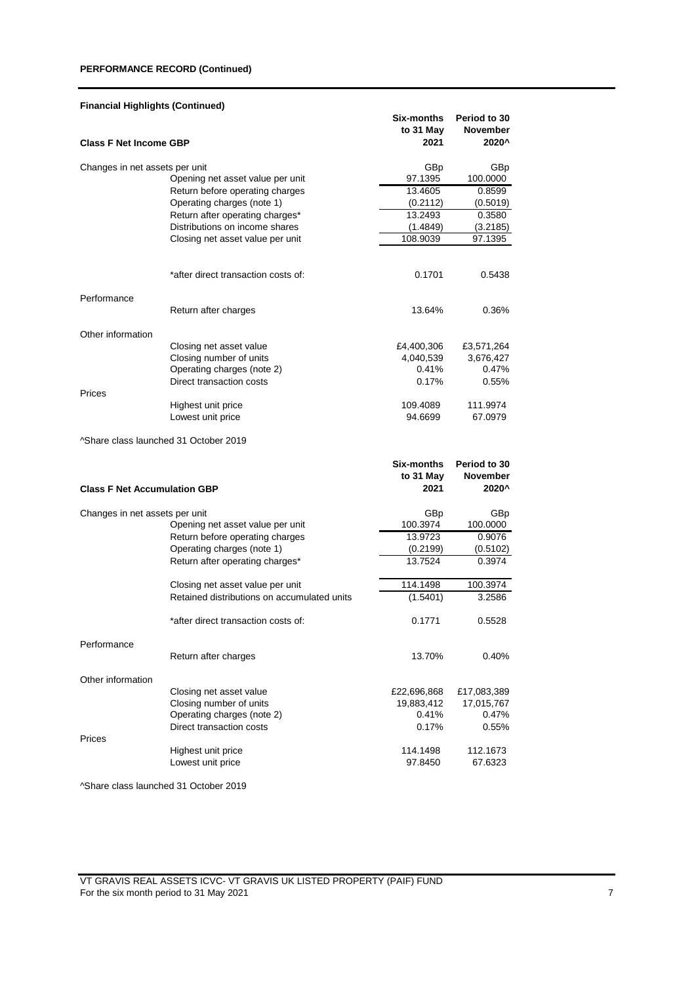## **PERFORMANCE RECORD (Continued)**

| <b>Financial Highlights (Continued)</b> |                                             |                         |                                 |
|-----------------------------------------|---------------------------------------------|-------------------------|---------------------------------|
|                                         |                                             | Six-months<br>to 31 May | Period to 30<br><b>November</b> |
| <b>Class F Net Income GBP</b>           |                                             | 2021                    | 2020^                           |
| Changes in net assets per unit          |                                             | GBp                     | GBp                             |
|                                         | Opening net asset value per unit            | 97.1395                 | 100.0000                        |
|                                         | Return before operating charges             | 13.4605                 | 0.8599                          |
|                                         | Operating charges (note 1)                  | (0.2112)                | (0.5019)                        |
|                                         | Return after operating charges*             | 13.2493                 | 0.3580                          |
|                                         | Distributions on income shares              | (1.4849)                | (3.2185)                        |
|                                         | Closing net asset value per unit            | 108.9039                | 97.1395                         |
|                                         |                                             |                         |                                 |
|                                         | *after direct transaction costs of:         | 0.1701                  | 0.5438                          |
| Performance                             |                                             |                         |                                 |
|                                         | Return after charges                        | 13.64%                  | 0.36%                           |
| Other information                       |                                             |                         |                                 |
|                                         | Closing net asset value                     | £4,400,306              | £3,571,264                      |
|                                         | Closing number of units                     | 4,040,539               | 3,676,427                       |
|                                         | Operating charges (note 2)                  | 0.41%                   | 0.47%                           |
| Prices                                  | Direct transaction costs                    | 0.17%                   | 0.55%                           |
|                                         | Highest unit price                          | 109.4089                | 111.9974                        |
|                                         | Lowest unit price                           | 94.6699                 | 67.0979                         |
| ^Share class launched 31 October 2019   |                                             |                         |                                 |
|                                         |                                             | Six-months              | Period to 30                    |
|                                         |                                             | to 31 May               | November                        |
| <b>Class F Net Accumulation GBP</b>     |                                             | 2021                    | 2020^                           |
| Changes in net assets per unit          |                                             | GBp                     | GBp                             |
|                                         | Opening net asset value per unit            | 100.3974                | 100.0000                        |
|                                         | Return before operating charges             | 13.9723                 | 0.9076                          |
|                                         | Operating charges (note 1)                  | (0.2199)                | (0.5102)                        |
|                                         | Return after operating charges*             | 13.7524                 | 0.3974                          |
|                                         | Closing net asset value per unit            | 114.1498                | 100.3974                        |
|                                         | Retained distributions on accumulated units | (1.5401)                | 3.2586                          |
|                                         |                                             |                         |                                 |

\*after direct transaction costs of: 0.1771 0.5528

Return after charges 13.70% 0.40%

Closing net asset value  $\overline{22,696,868}$  £17,083,389<br>Closing number of units  $\overline{19,883,412}$  17,015,767 Closing number of units<br>
Operating charges (note 2)  $0.41\%$ <br>
0.47% 0.47%

Direct transaction costs 0.17% 0.55%

Highest unit price 114.1498 112.1673 Lowest unit price 97.8450 67.6323

^Share class launched 31 October 2019

Performance

Prices

Other information

Operating charges (note 2)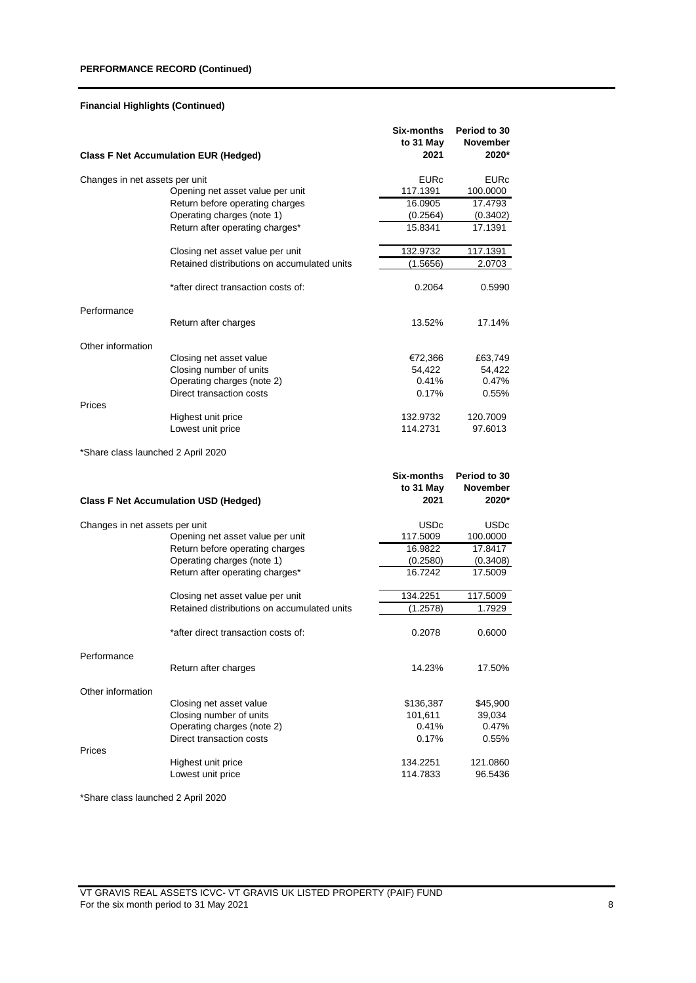# **PERFORMANCE RECORD (Continued)**

# **Financial Highlights (Continued)**

|                                    | <b>Class F Net Accumulation EUR (Hedged)</b> | Six-months<br>to 31 May<br>2021 | Period to 30<br><b>November</b><br>2020* |
|------------------------------------|----------------------------------------------|---------------------------------|------------------------------------------|
| Changes in net assets per unit     |                                              | <b>EURc</b>                     | <b>EURc</b>                              |
|                                    | Opening net asset value per unit             | 117.1391                        | 100.0000                                 |
|                                    | Return before operating charges              | 16.0905                         | 17.4793                                  |
|                                    | Operating charges (note 1)                   | (0.2564)                        | (0.3402)                                 |
|                                    | Return after operating charges*              | 15.8341                         | 17.1391                                  |
|                                    | Closing net asset value per unit             | 132.9732                        | 117.1391                                 |
|                                    | Retained distributions on accumulated units  | (1.5656)                        | 2.0703                                   |
|                                    | *after direct transaction costs of:          | 0.2064                          | 0.5990                                   |
| Performance                        |                                              |                                 |                                          |
|                                    | Return after charges                         | 13.52%                          | 17.14%                                   |
| Other information                  |                                              |                                 |                                          |
|                                    | Closing net asset value                      | €72,366                         | £63,749                                  |
|                                    | Closing number of units                      | 54,422                          | 54,422                                   |
|                                    | Operating charges (note 2)                   | 0.41%                           | 0.47%                                    |
| Prices                             | Direct transaction costs                     | 0.17%                           | $0.55\%$                                 |
|                                    | Highest unit price                           | 132.9732                        | 120.7009                                 |
|                                    | Lowest unit price                            | 114.2731                        | 97.6013                                  |
| *Share class launched 2 April 2020 |                                              |                                 |                                          |
|                                    |                                              | Six-months                      | Period to 30                             |
|                                    | <b>Class F Net Accumulation USD (Hedged)</b> | to 31 May<br>2021               | November<br>2020*                        |
|                                    |                                              |                                 |                                          |
| Changes in net assets per unit     |                                              | <b>USDc</b>                     | <b>USDc</b>                              |
|                                    | Opening net asset value per unit             | 117.5009                        | 100.0000                                 |
|                                    | Return before operating charges              | 16.9822                         | 17.8417                                  |
|                                    | Operating charges (note 1)                   | (0.2580)                        | (0.3408)                                 |
|                                    | Return after operating charges*              | 16.7242                         | 17.5009                                  |
|                                    | Closing net asset value per unit             | 134.2251                        | 117.5009                                 |
|                                    | Retained distributions on accumulated units  | (1.2578)                        | 1.7929                                   |
|                                    | *after direct transaction costs of:          | 0.2078                          | 0.6000                                   |
| Performance                        |                                              |                                 |                                          |
|                                    | Return after charges                         | 14.23%                          | 17.50%                                   |
| Other information                  |                                              |                                 |                                          |
|                                    | Closing net asset value                      | \$136,387                       | \$45,900                                 |
|                                    | Closing number of units                      | 101,611                         | 39,034                                   |
|                                    | Operating charges (note 2)                   | 0.41%                           | 0.47%                                    |
| Prices                             | Direct transaction costs                     | 0.17%                           | 0.55%                                    |
|                                    | Highest unit price                           | 134.2251                        | 121.0860                                 |
|                                    |                                              |                                 |                                          |
|                                    | Lowest unit price                            | 114.7833                        | 96.5436                                  |

\*Share class launched 2 April 2020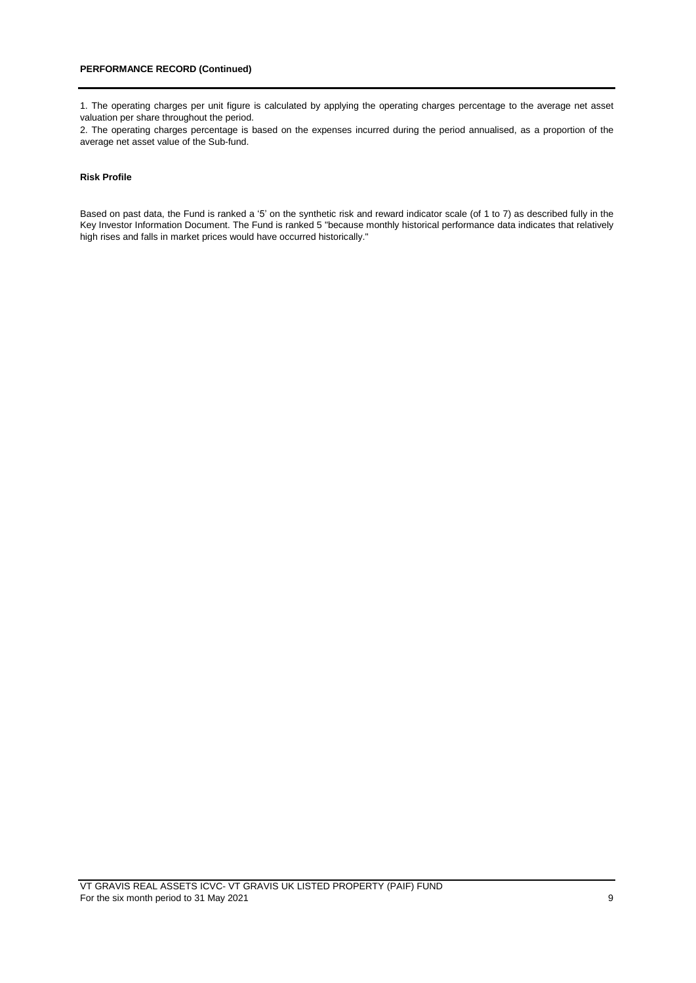1. The operating charges per unit figure is calculated by applying the operating charges percentage to the average net asset valuation per share throughout the period.

2. The operating charges percentage is based on the expenses incurred during the period annualised, as a proportion of the average net asset value of the Sub-fund.

### **Risk Profile**

Based on past data, the Fund is ranked a '5' on the synthetic risk and reward indicator scale (of 1 to 7) as described fully in the Key Investor Information Document. The Fund is ranked 5 "because monthly historical performance data indicates that relatively high rises and falls in market prices would have occurred historically."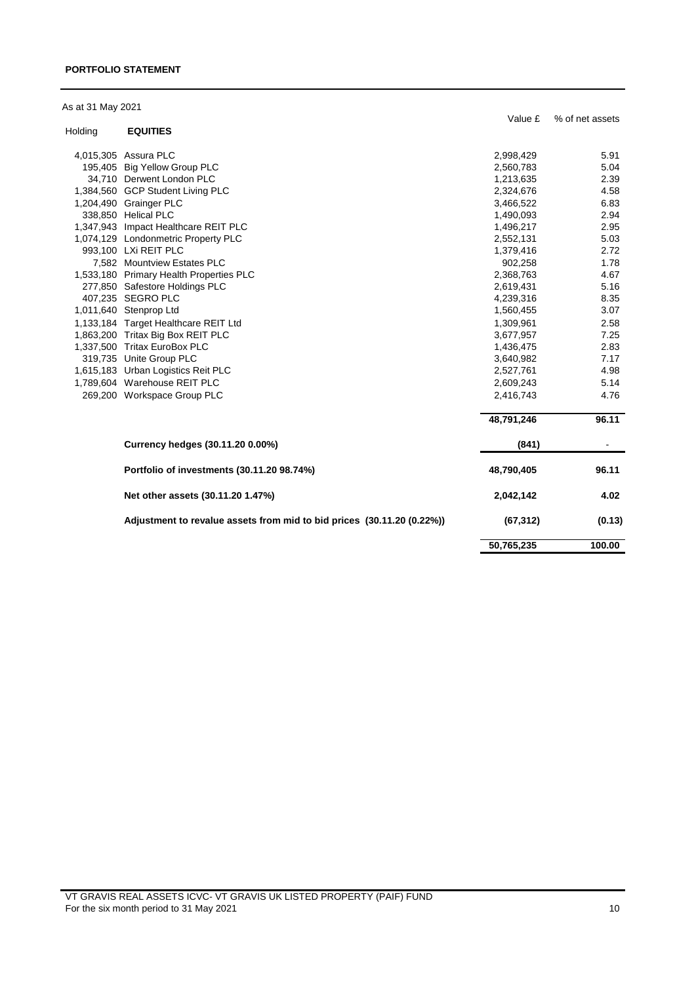### **PORTFOLIO STATEMENT**

|  |  | As at 31 May 2021 |
|--|--|-------------------|
|  |  |                   |

|         |                                                                        | Value £    | % of net assets |
|---------|------------------------------------------------------------------------|------------|-----------------|
| Holding | <b>EQUITIES</b>                                                        |            |                 |
|         | 4,015,305 Assura PLC                                                   | 2,998,429  | 5.91            |
|         | 195,405 Big Yellow Group PLC                                           | 2,560,783  | 5.04            |
|         | 34,710 Derwent London PLC                                              | 1,213,635  | 2.39            |
|         | 1,384,560 GCP Student Living PLC                                       | 2,324,676  | 4.58            |
|         | 1,204,490 Grainger PLC                                                 | 3,466,522  | 6.83            |
|         | 338,850 Helical PLC                                                    | 1,490,093  | 2.94            |
|         | 1,347,943 Impact Healthcare REIT PLC                                   | 1,496,217  | 2.95            |
|         | 1,074,129 Londonmetric Property PLC                                    | 2,552,131  | 5.03            |
|         | 993,100 LXi REIT PLC                                                   | 1,379,416  | 2.72            |
|         | 7,582 Mountview Estates PLC                                            | 902,258    | 1.78            |
|         | 1,533,180 Primary Health Properties PLC                                | 2,368,763  | 4.67            |
|         | 277,850 Safestore Holdings PLC                                         | 2,619,431  | 5.16            |
|         | 407,235 SEGRO PLC                                                      | 4,239,316  | 8.35            |
|         | 1,011,640 Stenprop Ltd                                                 | 1,560,455  | 3.07            |
|         | 1,133,184 Target Healthcare REIT Ltd                                   | 1,309,961  | 2.58            |
|         | 1,863,200 Tritax Big Box REIT PLC                                      | 3,677,957  | 7.25            |
|         | 1,337,500 Tritax EuroBox PLC                                           | 1,436,475  | 2.83            |
|         | 319,735 Unite Group PLC                                                | 3,640,982  | 7.17            |
|         | 1,615,183 Urban Logistics Reit PLC                                     | 2,527,761  | 4.98            |
|         | 1,789,604 Warehouse REIT PLC                                           | 2,609,243  | 5.14            |
|         | 269,200 Workspace Group PLC                                            | 2,416,743  | 4.76            |
|         |                                                                        | 48,791,246 | 96.11           |
|         | Currency hedges (30.11.20 0.00%)                                       | (841)      |                 |
|         | Portfolio of investments (30.11.20 98.74%)                             | 48,790,405 | 96.11           |
|         | Net other assets (30.11.20 1.47%)                                      | 2,042,142  | 4.02            |
|         | Adjustment to revalue assets from mid to bid prices (30.11.20 (0.22%)) | (67, 312)  | (0.13)          |
|         |                                                                        | 50,765,235 | 100.00          |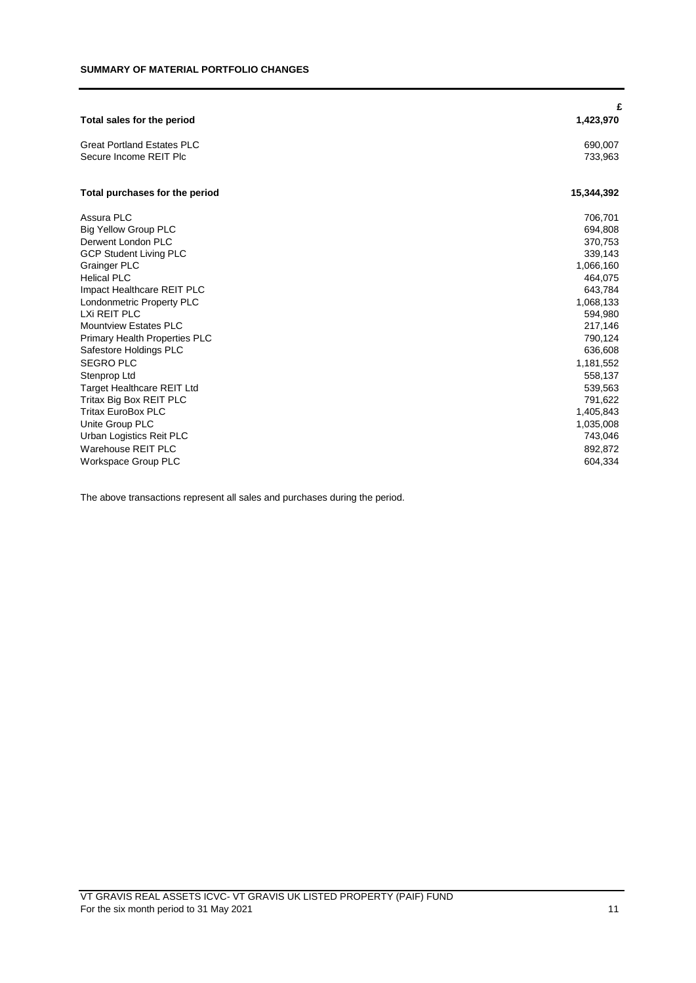| Total sales for the period           | £<br>1,423,970 |
|--------------------------------------|----------------|
| <b>Great Portland Estates PLC</b>    | 690,007        |
| Secure Income REIT Plc               | 733,963        |
| Total purchases for the period       | 15,344,392     |
| Assura PLC                           | 706,701        |
| <b>Big Yellow Group PLC</b>          | 694,808        |
| Derwent London PLC                   | 370,753        |
| <b>GCP Student Living PLC</b>        | 339,143        |
| <b>Grainger PLC</b>                  | 1,066,160      |
| <b>Helical PLC</b>                   | 464,075        |
| Impact Healthcare REIT PLC           | 643,784        |
| Londonmetric Property PLC            | 1,068,133      |
| LXi REIT PLC                         | 594,980        |
| <b>Mountview Estates PLC</b>         | 217,146        |
| <b>Primary Health Properties PLC</b> | 790,124        |
| Safestore Holdings PLC               | 636,608        |
| <b>SEGRO PLC</b>                     | 1,181,552      |
| Stenprop Ltd                         | 558,137        |
| <b>Target Healthcare REIT Ltd</b>    | 539,563        |
| Tritax Big Box REIT PLC              | 791,622        |
| <b>Tritax EuroBox PLC</b>            | 1,405,843      |
| Unite Group PLC                      | 1,035,008      |
| Urban Logistics Reit PLC             | 743,046        |
| Warehouse REIT PLC                   | 892,872        |
| <b>Workspace Group PLC</b>           | 604,334        |

The above transactions represent all sales and purchases during the period.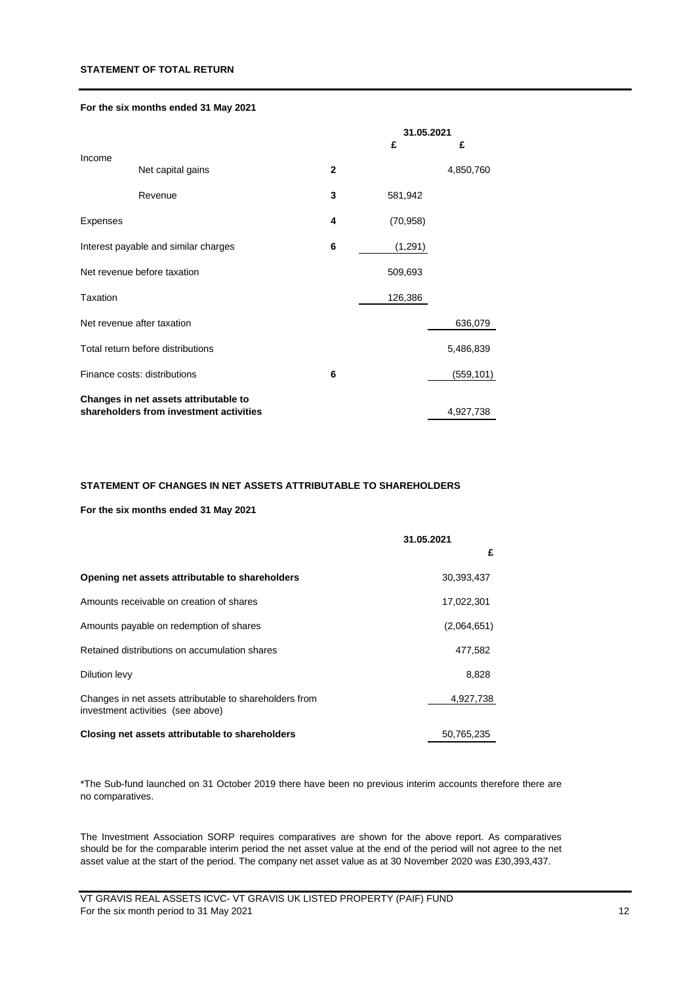### **STATEMENT OF TOTAL RETURN**

## **For the six months ended 31 May 2021**

|                                   |                                         |                | 31.05.2021 |            |
|-----------------------------------|-----------------------------------------|----------------|------------|------------|
|                                   |                                         |                | £          | £          |
| Income                            | Net capital gains                       | $\overline{2}$ |            | 4,850,760  |
|                                   | Revenue                                 | 3              | 581,942    |            |
| Expenses                          |                                         | 4              | (70, 958)  |            |
|                                   | Interest payable and similar charges    | 6              | (1,291)    |            |
| Net revenue before taxation       |                                         |                | 509,693    |            |
| <b>Taxation</b>                   |                                         |                | 126,386    |            |
|                                   | Net revenue after taxation              |                |            | 636,079    |
| Total return before distributions |                                         |                |            | 5,486,839  |
| Finance costs: distributions      |                                         | 6              |            | (559, 101) |
|                                   | Changes in net assets attributable to   |                |            |            |
|                                   | shareholders from investment activities |                |            | 4,927,738  |

#### **STATEMENT OF CHANGES IN NET ASSETS ATTRIBUTABLE TO SHAREHOLDERS**

## **For the six months ended 31 May 2021**

|                                                                                              | 31.05.2021  |
|----------------------------------------------------------------------------------------------|-------------|
|                                                                                              | £           |
| Opening net assets attributable to shareholders                                              | 30,393,437  |
| Amounts receivable on creation of shares                                                     | 17,022,301  |
| Amounts payable on redemption of shares                                                      | (2,064,651) |
| Retained distributions on accumulation shares                                                | 477,582     |
| Dilution levy                                                                                | 8,828       |
| Changes in net assets attributable to shareholders from<br>investment activities (see above) | 4,927,738   |
| Closing net assets attributable to shareholders                                              | 50,765,235  |

\*The Sub-fund launched on 31 October 2019 there have been no previous interim accounts therefore there are no comparatives.

The Investment Association SORP requires comparatives are shown for the above report. As comparatives should be for the comparable interim period the net asset value at the end of the period will not agree to the net asset value at the start of the period. The company net asset value as at 30 November 2020 was £30,393,437.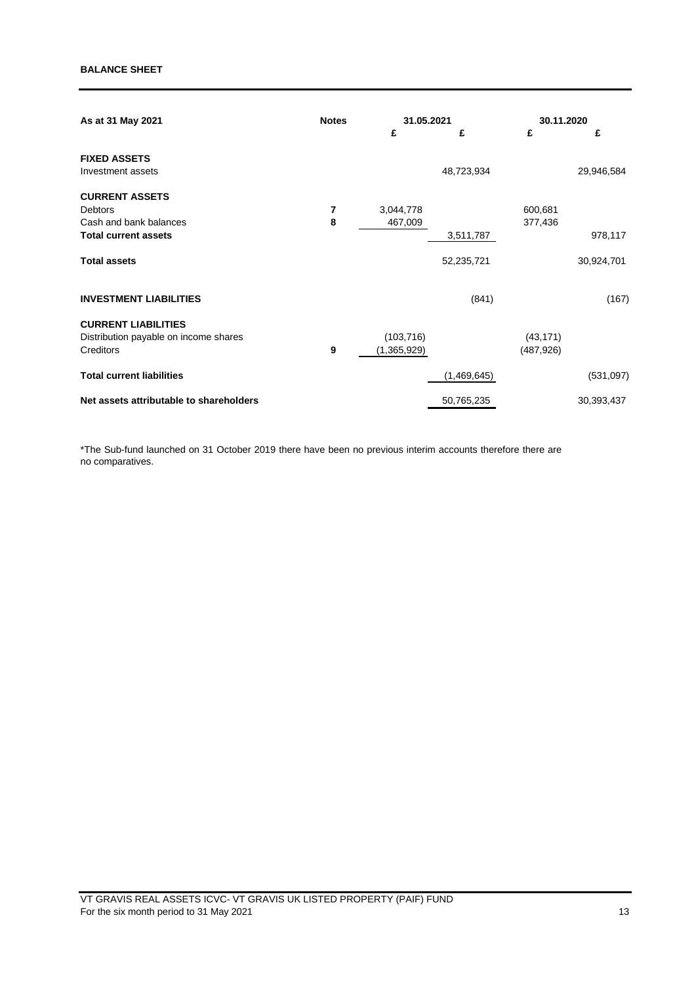| As at 31 May 2021                       | <b>Notes</b> |             | 31.05.2021  |            | 30.11.2020 |  |
|-----------------------------------------|--------------|-------------|-------------|------------|------------|--|
|                                         |              | £           | £           | £          | £          |  |
| <b>FIXED ASSETS</b>                     |              |             |             |            |            |  |
| Investment assets                       |              |             | 48,723,934  |            | 29,946,584 |  |
| <b>CURRENT ASSETS</b>                   |              |             |             |            |            |  |
| Debtors                                 | 7            | 3,044,778   |             | 600,681    |            |  |
| Cash and bank balances                  | 8            | 467,009     |             | 377,436    |            |  |
| <b>Total current assets</b>             |              |             | 3,511,787   |            | 978,117    |  |
| <b>Total assets</b>                     |              |             | 52,235,721  |            | 30,924,701 |  |
| <b>INVESTMENT LIABILITIES</b>           |              |             | (841)       |            | (167)      |  |
| <b>CURRENT LIABILITIES</b>              |              |             |             |            |            |  |
| Distribution payable on income shares   |              | (103, 716)  |             | (43, 171)  |            |  |
| Creditors                               | 9            | (1,365,929) |             | (487, 926) |            |  |
| <b>Total current liabilities</b>        |              |             | (1,469,645) |            | (531,097)  |  |
| Net assets attributable to shareholders |              |             | 50,765,235  |            | 30,393,437 |  |

\*The Sub-fund launched on 31 October 2019 there have been no previous interim accounts therefore there are no comparatives.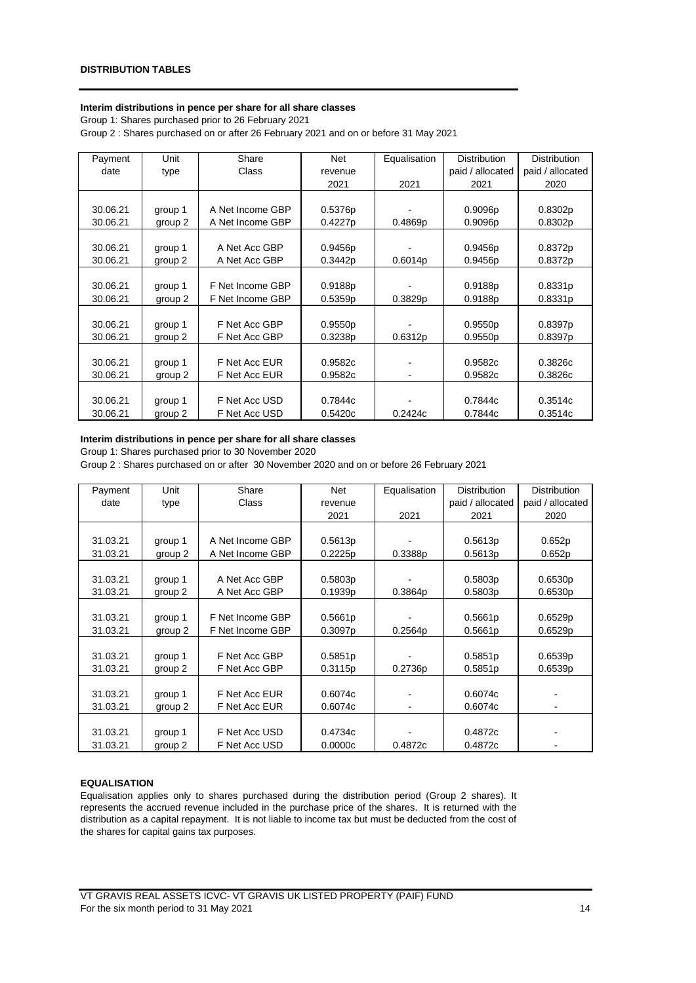#### **Interim distributions in pence per share for all share classes**

Group 1: Shares purchased prior to 26 February 2021

Group 2 : Shares purchased on or after 26 February 2021 and on or before 31 May 2021

| Payment  | Unit    | Share            | Net     | Equalisation | <b>Distribution</b> | <b>Distribution</b> |
|----------|---------|------------------|---------|--------------|---------------------|---------------------|
| date     | type    | Class            | revenue |              | paid / allocated    | paid / allocated    |
|          |         |                  | 2021    | 2021         | 2021                | 2020                |
|          |         |                  |         |              |                     |                     |
| 30.06.21 | group 1 | A Net Income GBP | 0.5376p |              | 0.9096p             | 0.8302p             |
| 30.06.21 | group 2 | A Net Income GBP | 0.4227p | 0.4869p      | 0.9096p             | 0.8302p             |
|          |         |                  |         |              |                     |                     |
| 30.06.21 | group 1 | A Net Acc GBP    | 0.9456p |              | 0.9456p             | 0.8372p             |
| 30.06.21 | group 2 | A Net Acc GBP    | 0.3442p | 0.6014p      | 0.9456p             | 0.8372p             |
|          |         |                  |         |              |                     |                     |
| 30.06.21 | group 1 | F Net Income GBP | 0.9188p |              | 0.9188p             | 0.8331p             |
| 30.06.21 | group 2 | F Net Income GBP | 0.5359p | 0.3829p      | 0.9188p             | 0.8331p             |
|          |         |                  |         |              |                     |                     |
| 30.06.21 | group 1 | F Net Acc GBP    | 0.9550p |              | 0.9550p             | 0.8397p             |
| 30.06.21 | group 2 | F Net Acc GBP    | 0.3238p | 0.6312p      | 0.9550p             | 0.8397p             |
|          |         |                  |         |              |                     |                     |
| 30.06.21 | group 1 | F Net Acc EUR    | 0.9582c |              | 0.9582c             | 0.3826c             |
| 30.06.21 | group 2 | F Net Acc EUR    | 0.9582c |              | 0.9582c             | 0.3826c             |
|          |         |                  |         |              |                     |                     |
| 30.06.21 | group 1 | F Net Acc USD    | 0.7844c |              | 0.7844c             | 0.3514c             |
| 30.06.21 | group 2 | F Net Acc USD    | 0.5420c | 0.2424c      | 0.7844c             | 0.3514c             |

# **Interim distributions in pence per share for all share classes**

Group 1: Shares purchased prior to 30 November 2020

Group 2 : Shares purchased on or after 30 November 2020 and on or before 26 February 2021

| Payment  | Unit    | Share            | Net                 | Equalisation | <b>Distribution</b> | <b>Distribution</b>      |
|----------|---------|------------------|---------------------|--------------|---------------------|--------------------------|
| date     | type    | Class            | revenue             |              | paid / allocated    | paid / allocated         |
|          |         |                  | 2021                | 2021         | 2021                | 2020                     |
|          |         |                  |                     |              |                     |                          |
| 31.03.21 | group 1 | A Net Income GBP | 0.5613p             |              | 0.5613p             | 0.652p                   |
| 31.03.21 | group 2 | A Net Income GBP | 0.2225p             | 0.3388p      | 0.5613p             | 0.652p                   |
|          |         |                  |                     |              |                     |                          |
| 31.03.21 | group 1 | A Net Acc GBP    | 0.5803p             |              | 0.5803p             | 0.6530p                  |
| 31.03.21 | group 2 | A Net Acc GBP    | 0.1939 <sub>p</sub> | 0.3864p      | 0.5803p             | 0.6530p                  |
|          |         |                  |                     |              |                     |                          |
| 31.03.21 | group 1 | F Net Income GBP | 0.5661p             |              | 0.5661p             | 0.6529p                  |
| 31.03.21 | group 2 | F Net Income GBP | 0.3097p             | 0.2564p      | 0.5661p             | 0.6529p                  |
|          |         |                  |                     |              |                     |                          |
| 31.03.21 | group 1 | F Net Acc GBP    | 0.5851p             |              | 0.5851p             | 0.6539p                  |
| 31.03.21 | group 2 | F Net Acc GBP    | 0.3115p             | 0.2736p      | 0.5851p             | 0.6539p                  |
|          |         |                  |                     |              |                     |                          |
| 31.03.21 | group 1 | F Net Acc EUR    | 0.6074c             |              | 0.6074c             |                          |
| 31.03.21 | group 2 | F Net Acc EUR    | 0.6074c             |              | 0.6074c             |                          |
|          |         |                  |                     |              |                     |                          |
| 31.03.21 | group 1 | F Net Acc USD    | 0.4734c             |              | 0.4872c             |                          |
| 31.03.21 | group 2 | F Net Acc USD    | 0.0000c             | 0.4872c      | 0.4872c             | $\overline{\phantom{0}}$ |

# **EQUALISATION**

Equalisation applies only to shares purchased during the distribution period (Group 2 shares). It represents the accrued revenue included in the purchase price of the shares. It is returned with the distribution as a capital repayment. It is not liable to income tax but must be deducted from the cost of the shares for capital gains tax purposes.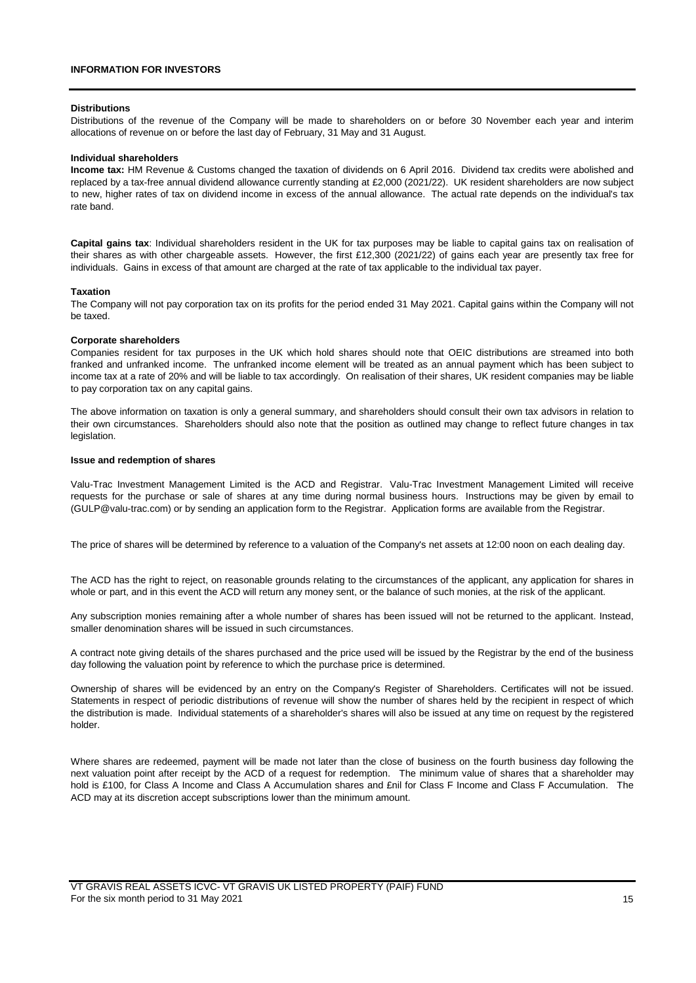#### **Distributions**

Distributions of the revenue of the Company will be made to shareholders on or before 30 November each year and interim allocations of revenue on or before the last day of February, 31 May and 31 August.

#### **Individual shareholders**

**Income tax:** HM Revenue & Customs changed the taxation of dividends on 6 April 2016. Dividend tax credits were abolished and replaced by a tax-free annual dividend allowance currently standing at £2,000 (2021/22). UK resident shareholders are now subject to new, higher rates of tax on dividend income in excess of the annual allowance. The actual rate depends on the individual's tax rate band.

**Capital gains tax**: Individual shareholders resident in the UK for tax purposes may be liable to capital gains tax on realisation of their shares as with other chargeable assets. However, the first £12,300 (2021/22) of gains each year are presently tax free for individuals. Gains in excess of that amount are charged at the rate of tax applicable to the individual tax payer.

#### **Taxation**

The Company will not pay corporation tax on its profits for the period ended 31 May 2021. Capital gains within the Company will not be taxed.

#### **Corporate shareholders**

Companies resident for tax purposes in the UK which hold shares should note that OEIC distributions are streamed into both franked and unfranked income. The unfranked income element will be treated as an annual payment which has been subject to income tax at a rate of 20% and will be liable to tax accordingly. On realisation of their shares, UK resident companies may be liable to pay corporation tax on any capital gains.

The above information on taxation is only a general summary, and shareholders should consult their own tax advisors in relation to their own circumstances. Shareholders should also note that the position as outlined may change to reflect future changes in tax legislation.

#### **Issue and redemption of shares**

Valu-Trac Investment Management Limited is the ACD and Registrar. Valu-Trac Investment Management Limited will receive requests for the purchase or sale of shares at any time during normal business hours. Instructions may be given by email to (GULP@valu-trac.com) or by sending an application form to the Registrar. Application forms are available from the Registrar.

The price of shares will be determined by reference to a valuation of the Company's net assets at 12:00 noon on each dealing day.

The ACD has the right to reject, on reasonable grounds relating to the circumstances of the applicant, any application for shares in whole or part, and in this event the ACD will return any money sent, or the balance of such monies, at the risk of the applicant.

Any subscription monies remaining after a whole number of shares has been issued will not be returned to the applicant. Instead, smaller denomination shares will be issued in such circumstances.

A contract note giving details of the shares purchased and the price used will be issued by the Registrar by the end of the business day following the valuation point by reference to which the purchase price is determined.

Ownership of shares will be evidenced by an entry on the Company's Register of Shareholders. Certificates will not be issued. Statements in respect of periodic distributions of revenue will show the number of shares held by the recipient in respect of which the distribution is made. Individual statements of a shareholder's shares will also be issued at any time on request by the registered holder.

Where shares are redeemed, payment will be made not later than the close of business on the fourth business day following the next valuation point after receipt by the ACD of a request for redemption. The minimum value of shares that a shareholder may hold is £100, for Class A Income and Class A Accumulation shares and £nil for Class F Income and Class F Accumulation. The ACD may at its discretion accept subscriptions lower than the minimum amount.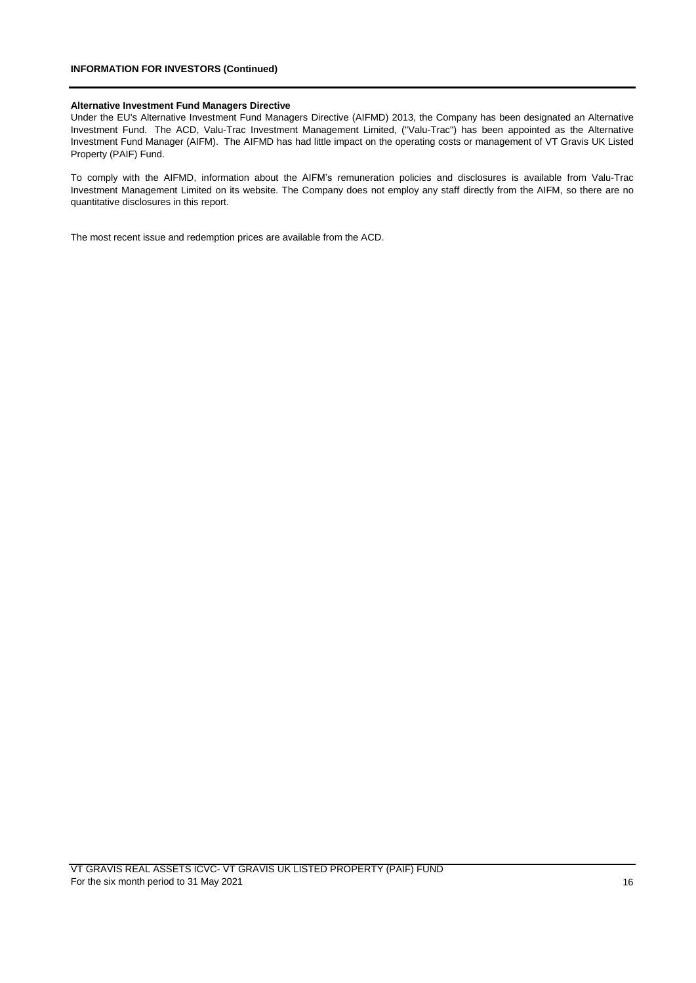# **INFORMATION FOR INVESTORS (Continued)**

#### **Alternative Investment Fund Managers Directive**

Under the EU's Alternative Investment Fund Managers Directive (AIFMD) 2013, the Company has been designated an Alternative Investment Fund. The ACD, Valu-Trac Investment Management Limited, ("Valu-Trac") has been appointed as the Alternative Investment Fund Manager (AIFM). The AIFMD has had little impact on the operating costs or management of VT Gravis UK Listed Property (PAIF) Fund.

To comply with the AIFMD, information about the AIFM's remuneration policies and disclosures is available from Valu-Trac Investment Management Limited on its website. The Company does not employ any staff directly from the AIFM, so there are no quantitative disclosures in this report.

The most recent issue and redemption prices are available from the ACD.